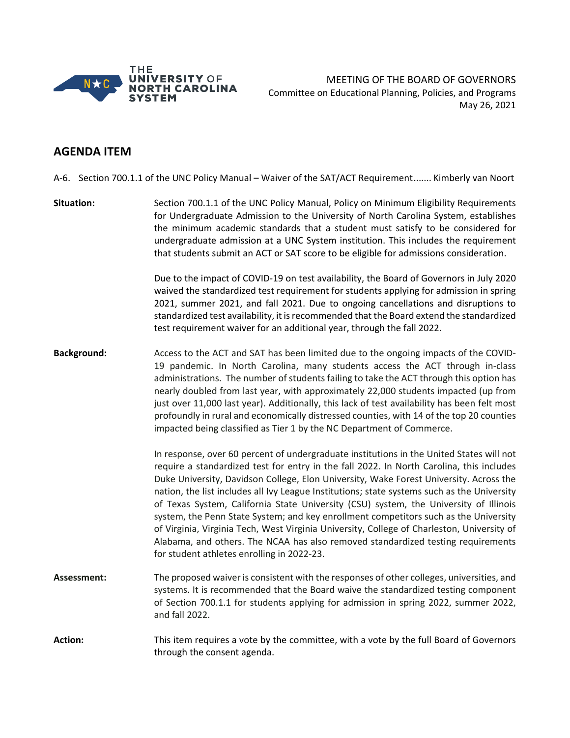

MEETING OF THE BOARD OF GOVERNORS Committee on Educational Planning, Policies, and Programs May 26, 2021

## **AGENDA ITEM**

A-6. Section 700.1.1 of the UNC Policy Manual – Waiver of the SAT/ACT Requirement....... Kimberly van Noort

**Situation:** Section 700.1.1 of the UNC Policy Manual, Policy on Minimum Eligibility Requirements for Undergraduate Admission to the University of North Carolina System, establishes the minimum academic standards that a student must satisfy to be considered for undergraduate admission at a UNC System institution. This includes the requirement that students submit an ACT or SAT score to be eligible for admissions consideration.

> Due to the impact of COVID-19 on test availability, the Board of Governors in July 2020 waived the standardized test requirement for students applying for admission in spring 2021, summer 2021, and fall 2021. Due to ongoing cancellations and disruptions to standardized test availability, it is recommended that the Board extend the standardized test requirement waiver for an additional year, through the fall 2022.

**Background:** Access to the ACT and SAT has been limited due to the ongoing impacts of the COVID-19 pandemic. In North Carolina, many students access the ACT through in-class administrations. The number of students failing to take the ACT through this option has nearly doubled from last year, with approximately 22,000 students impacted (up from just over 11,000 last year). Additionally, this lack of test availability has been felt most profoundly in rural and economically distressed counties, with 14 of the top 20 counties impacted being classified as Tier 1 by the NC Department of Commerce.

> In response, over 60 percent of undergraduate institutions in the United States will not require a standardized test for entry in the fall 2022. In North Carolina, this includes Duke University, Davidson College, Elon University, Wake Forest University. Across the nation, the list includes all Ivy League Institutions; state systems such as the University of Texas System, California State University (CSU) system, the University of Illinois system, the Penn State System; and key enrollment competitors such as the University of Virginia, Virginia Tech, West Virginia University, College of Charleston, University of Alabama, and others. The NCAA has also removed standardized testing requirements for student athletes enrolling in 2022-23.

- **Assessment:**  The proposed waiver is consistent with the responses of other colleges, universities, and systems. It is recommended that the Board waive the standardized testing component of Section 700.1.1 for students applying for admission in spring 2022, summer 2022, and fall 2022.
- **Action:** This item requires a vote by the committee, with a vote by the full Board of Governors through the consent agenda.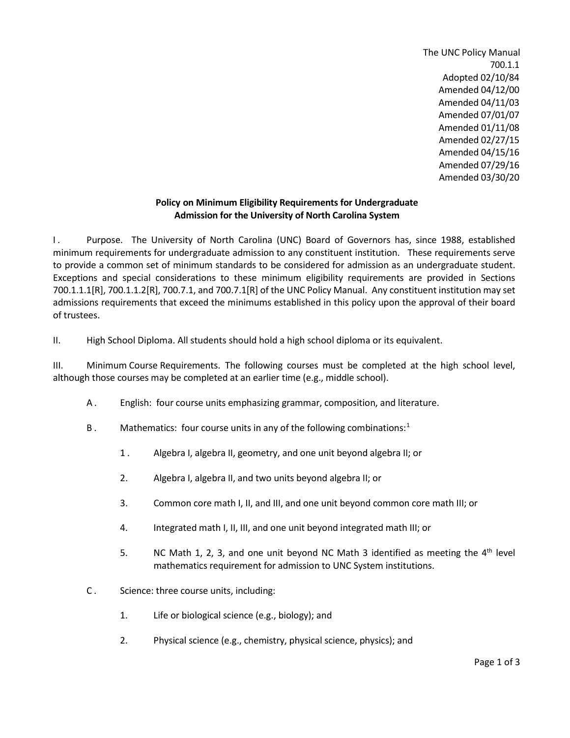The UNC Policy Manual 700.1.1 Adopted 02/10/84 Amended 04/12/00 Amended 04/11/03 Amended 07/01/07 Amended 01/11/08 Amended 02/27/15 Amended 04/15/16 Amended 07/29/16 Amended 03/30/20

## **Policy on Minimum Eligibility Requirements for Undergraduate Admission for the University of North Carolina System**

I. Purpose. The University of North Carolina (UNC) Board of Governors has, since 1988, established minimum requirements for undergraduate admission to any constituent institution. These requirements serve to provide a common set of minimum standards to be considered for admission as an undergraduate student. Exceptions and special considerations to these minimum eligibility requirements are provided in Sections 700.1.1.1[R], 700.1.1.2[R], 700.7.1, and 700.7.1[R] of the UNC Policy Manual. Any constituent institution may set admissions requirements that exceed the minimums established in this policy upon the approval of their board of trustees.

II. High School Diploma. All students should hold a high school diploma or its equivalent.

III. Minimum Course Requirements. The following courses must be completed at the high school level, although those courses may be completed at an earlier time (e.g., middle school).

- A . English: four course units emphasizing grammar, composition, and literature.
- B. Mathematics: four course units in any of the following combinations:<sup>[1](#page-3-0)</sup>
	- 1 . Algebra I, algebra II, geometry, and one unit beyond algebra II; or
	- 2. Algebra I, algebra II, and two units beyond algebra II; or
	- 3. Common core math I, II, and III, and one unit beyond common core math III; or
	- 4. Integrated math I, II, III, and one unit beyond integrated math III; or
	- 5. NC Math 1, 2, 3, and one unit beyond NC Math 3 identified as meeting the  $4<sup>th</sup>$  level mathematics requirement for admission to UNC System institutions.
- C . Science: three course units, including:
	- 1. Life or biological science (e.g., biology); and
	- 2. Physical science (e.g., chemistry, physical science, physics); and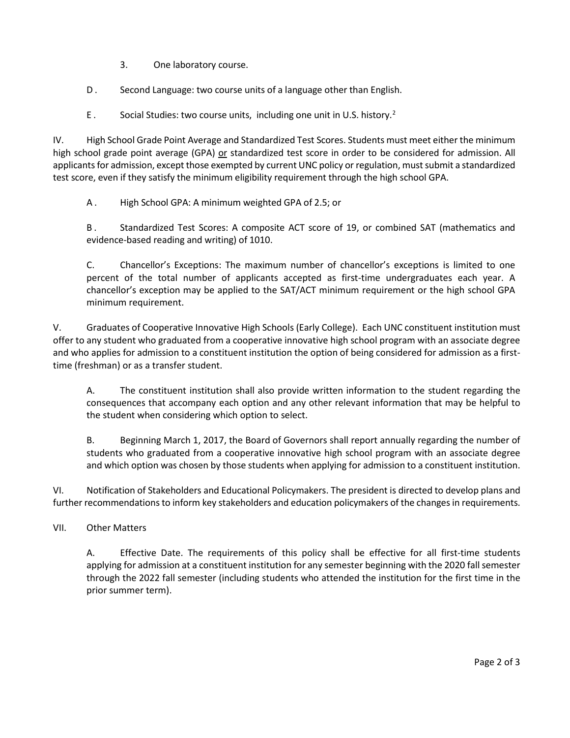- 3. One laboratory course.
- D. Second Language: two course units of a language other than English.
- E. Social Studies: two course units, including one unit in U.S. history.<sup>[2](#page-3-1)</sup>

IV. High School Grade Point Average and Standardized Test Scores. Students must meet either the minimum high school grade point average (GPA) or standardized test score in order to be considered for admission. All applicants for admission, except those exempted by current UNC policy or regulation, must submit a standardized test score, even if they satisfy the minimum eligibility requirement through the high school GPA.

A . High School GPA: A minimum weighted GPA of 2.5; or

B . Standardized Test Scores: A composite ACT score of 19, or combined SAT (mathematics and evidence-based reading and writing) of 1010.

C. Chancellor's Exceptions: The maximum number of chancellor's exceptions is limited to one percent of the total number of applicants accepted as first-time undergraduates each year. A chancellor's exception may be applied to the SAT/ACT minimum requirement or the high school GPA minimum requirement.

V. Graduates of Cooperative Innovative High Schools (Early College). Each UNC constituent institution must offer to any student who graduated from a cooperative innovative high school program with an associate degree and who applies for admission to a constituent institution the option of being considered for admission as a firsttime (freshman) or as a transfer student.

A. The constituent institution shall also provide written information to the student regarding the consequences that accompany each option and any other relevant information that may be helpful to the student when considering which option to select.

B. Beginning March 1, 2017, the Board of Governors shall report annually regarding the number of students who graduated from a cooperative innovative high school program with an associate degree and which option was chosen by those students when applying for admission to a constituent institution.

VI. Notification of Stakeholders and Educational Policymakers. The president is directed to develop plans and further recommendations to inform key stakeholders and education policymakers of the changes in requirements.

VII. Other Matters

A. Effective Date. The requirements of this policy shall be effective for all first-time students applying for admission at a constituent institution for any semester beginning with the 2020 fall semester through the 2022 fall semester (including students who attended the institution for the first time in the prior summer term).